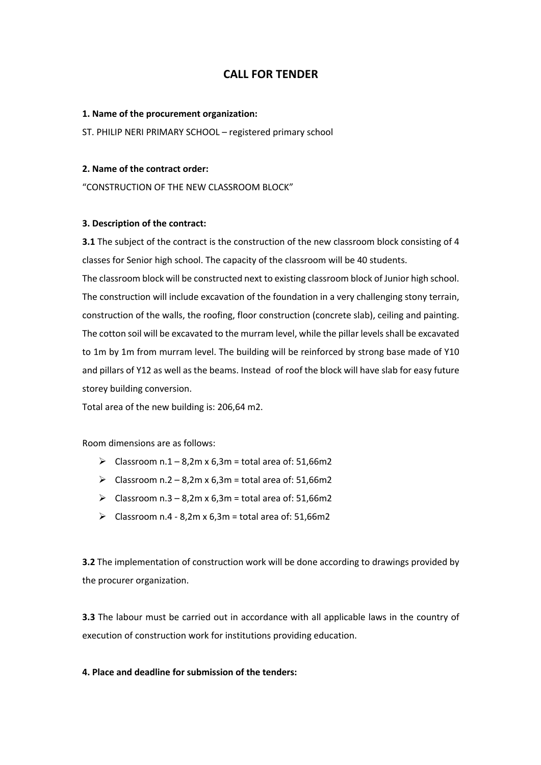# **CALL FOR TENDER**

## **1. Name of the procurement organization:**

ST. PHILIP NERI PRIMARY SCHOOL – registered primary school

# **2. Name of the contract order:**

"CONSTRUCTION OF THE NEW CLASSROOM BLOCK"

# **3. Description of the contract:**

**3.1** The subject of the contract is the construction of the new classroom block consisting of 4 classes for Senior high school. The capacity of the classroom will be 40 students.

The classroom block will be constructed next to existing classroom block of Junior high school. The construction will include excavation of the foundation in a very challenging stony terrain, construction of the walls, the roofing, floor construction (concrete slab), ceiling and painting. The cotton soil will be excavated to the murram level, while the pillar levels shall be excavated to 1m by 1m from murram level. The building will be reinforced by strong base made of Y10 and pillars of Y12 as well as the beams. Instead of roof the block will have slab for easy future storey building conversion.

Total area of the new building is: 206,64 m2.

Room dimensions are as follows:

- $\triangleright$  Classroom n.1 8,2m x 6,3m = total area of: 51,66m2
- $\triangleright$  Classroom n.2 8,2m x 6,3m = total area of: 51,66m2
- $\triangleright$  Classroom n.3 8,2m x 6,3m = total area of: 51,66m2
- $\triangleright$  Classroom n.4 8,2m x 6,3m = total area of: 51,66m2

**3.2** The implementation of construction work will be done according to drawings provided by the procurer organization.

**3.3** The labour must be carried out in accordance with all applicable laws in the country of execution of construction work for institutions providing education.

## **4. Place and deadline for submission of the tenders:**